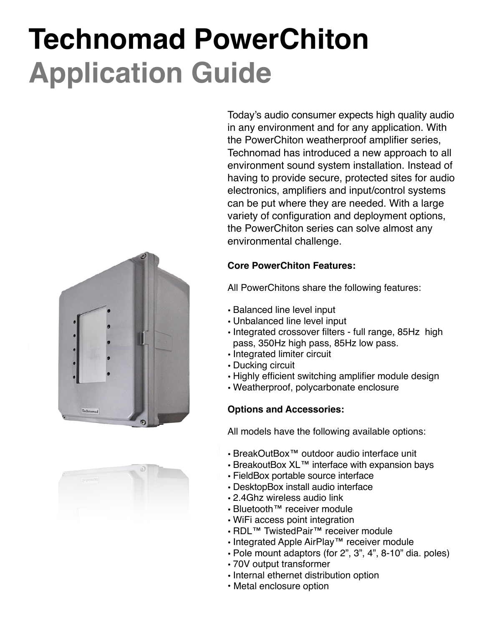# **Technomad PowerChiton Application Guide**





Today's audio consumer expects high quality audio in any environment and for any application. With the PowerChiton weatherproof amplifier series, Technomad has introduced a new approach to all environment sound system installation. Instead of having to provide secure, protected sites for audio electronics, amplifiers and input/control systems can be put where they are needed. With a large variety of configuration and deployment options, the PowerChiton series can solve almost any environmental challenge.

#### **Core PowerChiton Features:**

All PowerChitons share the following features:

- Balanced line level input
- Unbalanced line level input
- Integrated crossover filters full range, 85Hz high pass, 350Hz high pass, 85Hz low pass.
- Integrated limiter circuit
- Ducking circuit
- Highly efficient switching amplifier module design
- Weatherproof, polycarbonate enclosure

#### **Options and Accessories:**

All models have the following available options:

- BreakOutBox™ outdoor audio interface unit
- BreakoutBox XL™ interface with expansion bays
- FieldBox portable source interface
- DesktopBox install audio interface
- 2.4Ghz wireless audio link
- Bluetooth™ receiver module
- WiFi access point integration
- RDL™ TwistedPair™ receiver module
- Integrated Apple AirPlay™ receiver module
- Pole mount adaptors (for 2", 3", 4", 8-10" dia. poles)
- 70V output transformer
- Internal ethernet distribution option
- Metal enclosure option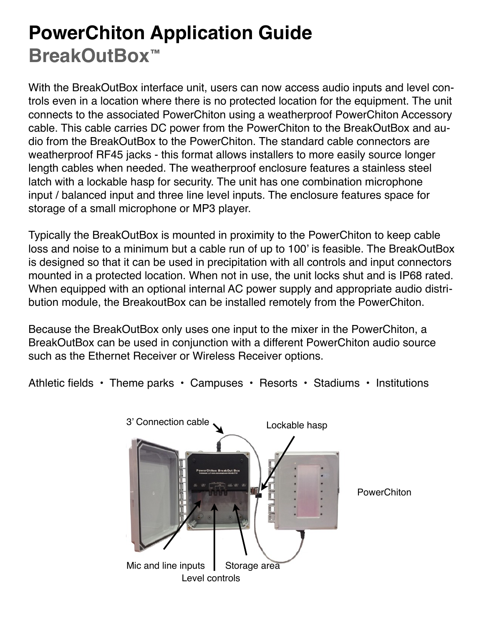### **PowerChiton Application Guide BreakOutBox™**

With the BreakOutBox interface unit, users can now access audio inputs and level controls even in a location where there is no protected location for the equipment. The unit connects to the associated PowerChiton using a weatherproof PowerChiton Accessory cable. This cable carries DC power from the PowerChiton to the BreakOutBox and audio from the BreakOutBox to the PowerChiton. The standard cable connectors are weatherproof RF45 jacks - this format allows installers to more easily source longer length cables when needed. The weatherproof enclosure features a stainless steel latch with a lockable hasp for security. The unit has one combination microphone input / balanced input and three line level inputs. The enclosure features space for storage of a small microphone or MP3 player.

Typically the BreakOutBox is mounted in proximity to the PowerChiton to keep cable loss and noise to a minimum but a cable run of up to 100' is feasible. The BreakOutBox is designed so that it can be used in precipitation with all controls and input connectors mounted in a protected location. When not in use, the unit locks shut and is IP68 rated. When equipped with an optional internal AC power supply and appropriate audio distribution module, the BreakoutBox can be installed remotely from the PowerChiton.

Because the BreakOutBox only uses one input to the mixer in the PowerChiton, a BreakOutBox can be used in conjunction with a different PowerChiton audio source such as the Ethernet Receiver or Wireless Receiver options.

Athletic fields • Theme parks • Campuses • Resorts • Stadiums • Institutions

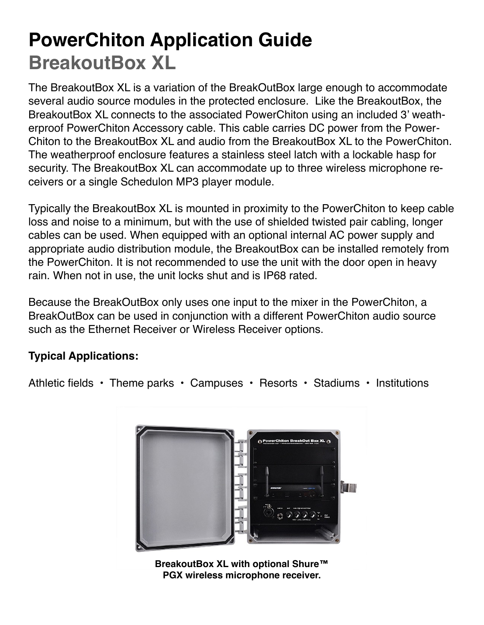# **PowerChiton Application Guide BreakoutBox XL**

The BreakoutBox XL is a variation of the BreakOutBox large enough to accommodate several audio source modules in the protected enclosure. Like the BreakoutBox, the BreakoutBox XL connects to the associated PowerChiton using an included 3' weatherproof PowerChiton Accessory cable. This cable carries DC power from the Power-Chiton to the BreakoutBox XL and audio from the BreakoutBox XL to the PowerChiton. The weatherproof enclosure features a stainless steel latch with a lockable hasp for security. The BreakoutBox XL can accommodate up to three wireless microphone receivers or a single Schedulon MP3 player module.

Typically the BreakoutBox XL is mounted in proximity to the PowerChiton to keep cable loss and noise to a minimum, but with the use of shielded twisted pair cabling, longer cables can be used. When equipped with an optional internal AC power supply and appropriate audio distribution module, the BreakoutBox can be installed remotely from the PowerChiton. It is not recommended to use the unit with the door open in heavy rain. When not in use, the unit locks shut and is IP68 rated.

Because the BreakOutBox only uses one input to the mixer in the PowerChiton, a BreakOutBox can be used in conjunction with a different PowerChiton audio source such as the Ethernet Receiver or Wireless Receiver options.

### **Typical Applications:**

Athletic fields • Theme parks • Campuses • Resorts • Stadiums • Institutions



**BreakoutBox XL with optional Shure™ PGX wireless microphone receiver.**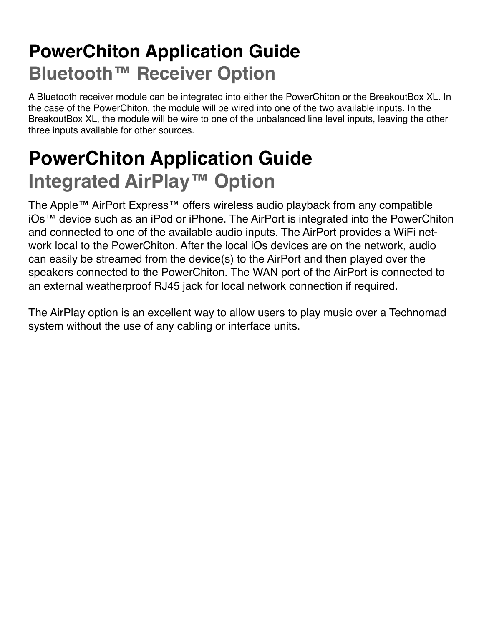## **PowerChiton Application Guide Bluetooth™ Receiver Option**

A Bluetooth receiver module can be integrated into either the PowerChiton or the BreakoutBox XL. In the case of the PowerChiton, the module will be wired into one of the two available inputs. In the BreakoutBox XL, the module will be wire to one of the unbalanced line level inputs, leaving the other three inputs available for other sources.

# **PowerChiton Application Guide Integrated AirPlay™ Option**

The Apple™ AirPort Express™ offers wireless audio playback from any compatible iOs™ device such as an iPod or iPhone. The AirPort is integrated into the PowerChiton and connected to one of the available audio inputs. The AirPort provides a WiFi network local to the PowerChiton. After the local iOs devices are on the network, audio can easily be streamed from the device(s) to the AirPort and then played over the speakers connected to the PowerChiton. The WAN port of the AirPort is connected to an external weatherproof RJ45 jack for local network connection if required.

The AirPlay option is an excellent way to allow users to play music over a Technomad system without the use of any cabling or interface units.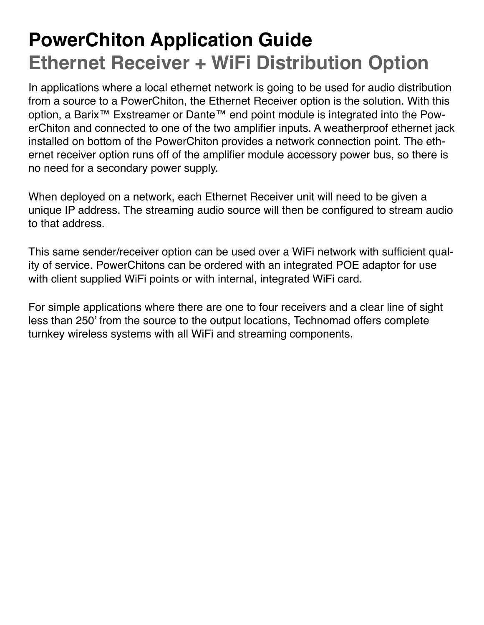# **PowerChiton Application Guide Ethernet Receiver + WiFi Distribution Option**

In applications where a local ethernet network is going to be used for audio distribution from a source to a PowerChiton, the Ethernet Receiver option is the solution. With this option, a Barix™ Exstreamer or Dante™ end point module is integrated into the PowerChiton and connected to one of the two amplifier inputs. A weatherproof ethernet jack installed on bottom of the PowerChiton provides a network connection point. The ethernet receiver option runs off of the amplifier module accessory power bus, so there is no need for a secondary power supply.

When deployed on a network, each Ethernet Receiver unit will need to be given a unique IP address. The streaming audio source will then be configured to stream audio to that address.

This same sender/receiver option can be used over a WiFi network with sufficient quality of service. PowerChitons can be ordered with an integrated POE adaptor for use with client supplied WiFi points or with internal, integrated WiFi card.

For simple applications where there are one to four receivers and a clear line of sight less than 250' from the source to the output locations, Technomad offers complete turnkey wireless systems with all WiFi and streaming components.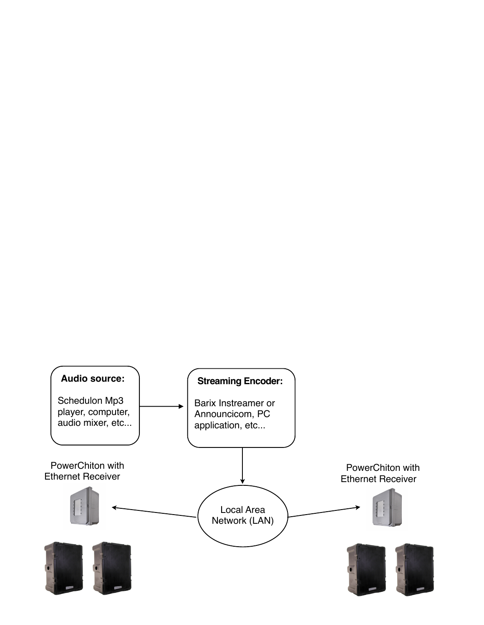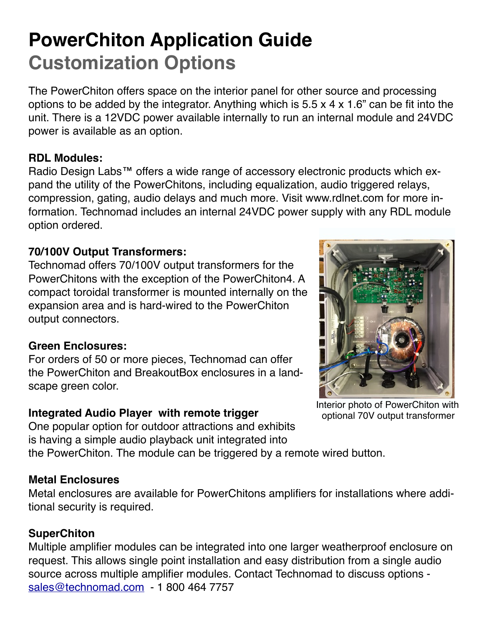### **PowerChiton Application Guide Customization Options**

The PowerChiton offers space on the interior panel for other source and processing options to be added by the integrator. Anything which is 5.5 x 4 x 1.6" can be fit into the unit. There is a 12VDC power available internally to run an internal module and 24VDC power is available as an option.

#### **RDL Modules:**

Radio Design Labs<sup>™</sup> offers a wide range of accessory electronic products which expand the utility of the PowerChitons, including equalization, audio triggered relays, compression, gating, audio delays and much more. Visit www.rdlnet.com for more information. Technomad includes an internal 24VDC power supply with any RDL module option ordered.

### **70/100V Output Transformers:**

Technomad offers 70/100V output transformers for the PowerChitons with the exception of the PowerChiton4. A compact toroidal transformer is mounted internally on the expansion area and is hard-wired to the PowerChiton output connectors.

### **Green Enclosures:**

For orders of 50 or more pieces, Technomad can offer the PowerChiton and BreakoutBox enclosures in a landscape green color.

### **Integrated Audio Player with remote trigger**

One popular option for outdoor attractions and exhibits is having a simple audio playback unit integrated into



Interior photo of PowerChiton with optional 70V output transformer

the PowerChiton. The module can be triggered by a remote wired button.

### **Metal Enclosures**

Metal enclosures are available for PowerChitons amplifiers for installations where additional security is required.

### **SuperChiton**

Multiple amplifier modules can be integrated into one larger weatherproof enclosure on request. This allows single point installation and easy distribution from a single audio source across multiple amplifier modules. Contact Technomad to discuss options [sales@technomad.com](mailto:sales@technomad.com) - 1 800 464 7757